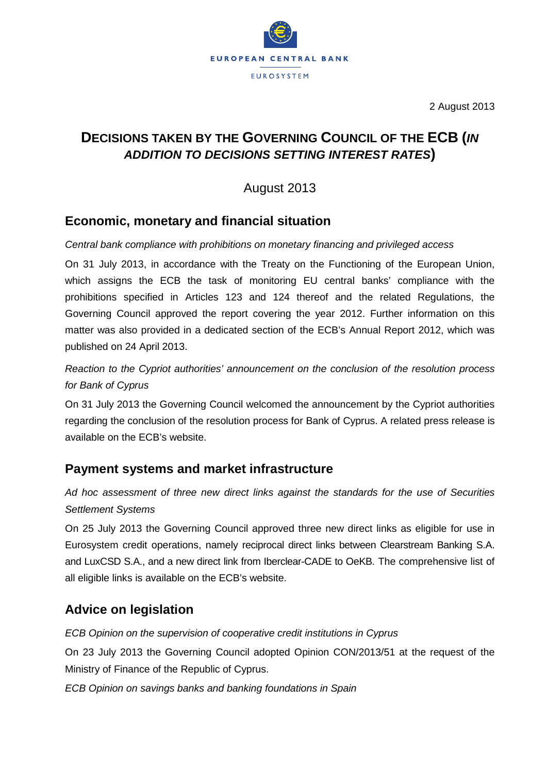

2 August 2013

## **DECISIONS TAKEN BY THE GOVERNING COUNCIL OF THE ECB (***IN ADDITION TO DECISIONS SETTING INTEREST RATES***)**

August 2013

## **Economic, monetary and financial situation**

### *Central bank compliance with prohibitions on monetary financing and privileged access*

On 31 July 2013, in accordance with the Treaty on the Functioning of the European Union, which assigns the ECB the task of monitoring EU central banks' compliance with the prohibitions specified in Articles 123 and 124 thereof and the related Regulations, the Governing Council approved the report covering the year 2012. Further information on this matter was also provided in a dedicated section of the ECB's Annual Report 2012, which was published on 24 April 2013.

*Reaction to the Cypriot authorities' announcement on the conclusion of the resolution process for Bank of Cyprus*

On 31 July 2013 the Governing Council welcomed the announcement by the Cypriot authorities regarding the conclusion of the resolution process for Bank of Cyprus. A related press release is available on the ECB's website.

## **Payment systems and market infrastructure**

*Ad hoc assessment of three new direct links against the standards for the use of Securities Settlement Systems*

On 25 July 2013 the Governing Council approved three new direct links as eligible for use in Eurosystem credit operations, namely reciprocal direct links between Clearstream Banking S.A. and LuxCSD S.A., and a new direct link from Iberclear-CADE to OeKB. The comprehensive list of all eligible links is available on the ECB's website.

# **Advice on legislation**

### *ECB Opinion on the supervision of cooperative credit institutions in Cyprus*

On 23 July 2013 the Governing Council adopted Opinion CON/2013/51 at the request of the Ministry of Finance of the Republic of Cyprus.

*ECB Opinion on savings banks and banking foundations in Spain*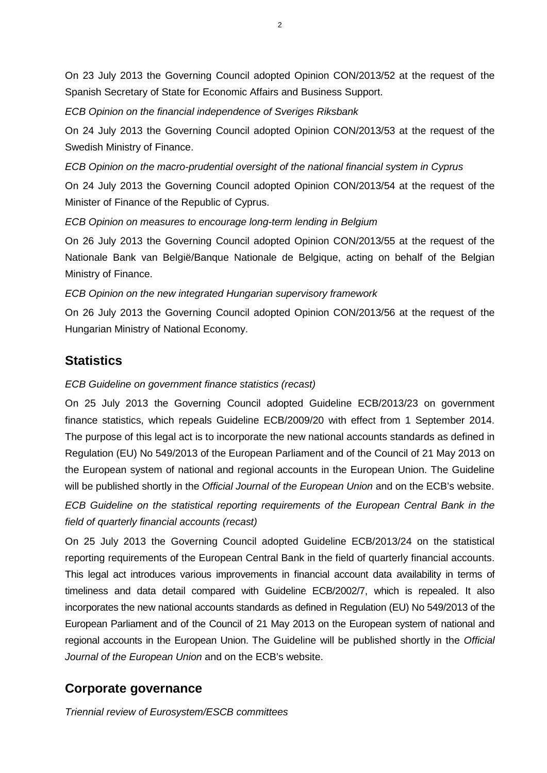On 23 July 2013 the Governing Council adopted Opinion CON/2013/52 at the request of the Spanish Secretary of State for Economic Affairs and Business Support.

*ECB Opinion on the financial independence of Sveriges Riksbank*

On 24 July 2013 the Governing Council adopted Opinion CON/2013/53 at the request of the Swedish Ministry of Finance.

*ECB Opinion on the macro-prudential oversight of the national financial system in Cyprus*

On 24 July 2013 the Governing Council adopted Opinion CON/2013/54 at the request of the Minister of Finance of the Republic of Cyprus.

*ECB Opinion on measures to encourage long-term lending in Belgium*

On 26 July 2013 the Governing Council adopted Opinion CON/2013/55 at the request of the Nationale Bank van België/Banque Nationale de Belgique, acting on behalf of the Belgian Ministry of Finance.

*ECB Opinion on the new integrated Hungarian supervisory framework*

On 26 July 2013 the Governing Council adopted Opinion CON/2013/56 at the request of the Hungarian Ministry of National Economy.

## **Statistics**

### *ECB Guideline on government finance statistics (recast)*

On 25 July 2013 the Governing Council adopted Guideline ECB/2013/23 on government finance statistics, which repeals Guideline ECB/2009/20 with effect from 1 September 2014. The purpose of this legal act is to incorporate the new national accounts standards as defined in Regulation (EU) No 549/2013 of the European Parliament and of the Council of 21 May 2013 on the European system of national and regional accounts in the European Union. The Guideline will be published shortly in the *Official Journal of the European Union* and on the ECB's website.

*ECB Guideline on the statistical reporting requirements of the European Central Bank in the field of quarterly financial accounts (recast)*

On 25 July 2013 the Governing Council adopted Guideline ECB/2013/24 on the statistical reporting requirements of the European Central Bank in the field of quarterly financial accounts. This legal act introduces various improvements in financial account data availability in terms of timeliness and data detail compared with Guideline ECB/2002/7, which is repealed. It also incorporates the new national accounts standards as defined in Regulation (EU) No 549/2013 of the European Parliament and of the Council of 21 May 2013 on the European system of national and regional accounts in the European Union. The Guideline will be published shortly in the *Official Journal of the European Union* and on the ECB's website.

## **Corporate governance**

*Triennial review of Eurosystem/ESCB committees*